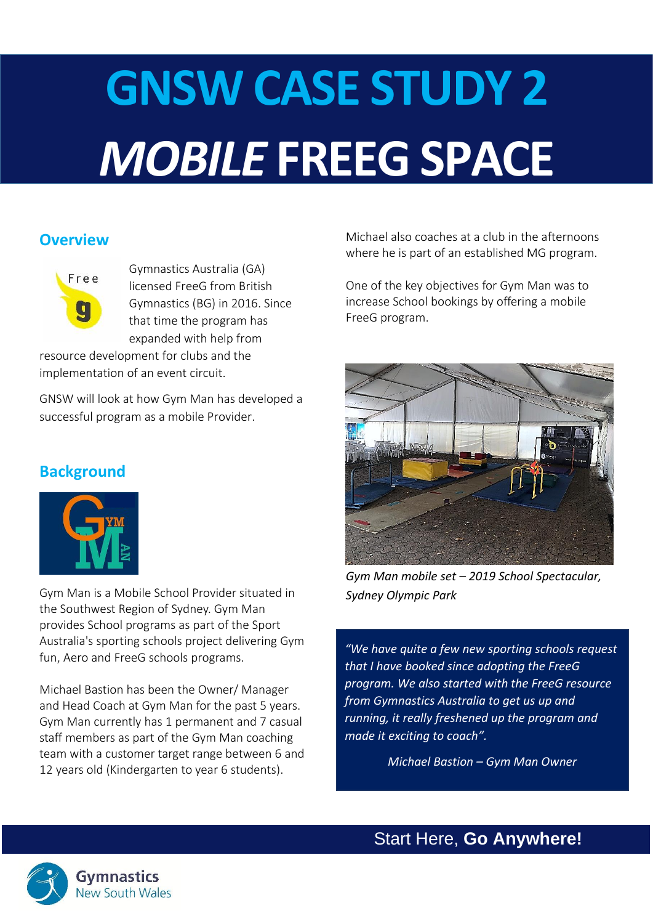# **GNSW CASE STUDY 2** *MOBILE* **FREEG SPACE**

# **Overview**



Gymnastics Australia (GA) licensed FreeG from British Gymnastics (BG) in 2016. Since that time the program has expanded with help from

resource development for clubs and the implementation of an event circuit.

GNSW will look at how Gym Man has developed a successful program as a mobile Provider.

# **Background**



Gym Man is a Mobile School Provider situated in the Southwest Region of Sydney. Gym Man provides School programs as part of the Sport Australia's sporting schools project delivering Gym fun, Aero and FreeG schools programs.

Michael Bastion has been the Owner/ Manager and Head Coach at Gym Man for the past 5 years. Gym Man currently has 1 permanent and 7 casual staff members as part of the Gym Man coaching team with a customer target range between 6 and 12 years old (Kindergarten to year 6 students).

Michael also coaches at a club in the afternoons where he is part of an established MG program.

One of the key objectives for Gym Man was to increase School bookings by offering a mobile FreeG program.



*Gym Man mobile set – 2019 School Spectacular, Sydney Olympic Park*

*"We have quite a few new sporting schools request that I have booked since adopting the FreeG program. We also started with the FreeG resource from Gymnastics Australia to get us up and running, it really freshened up the program and made it exciting to coach".*

*Michael Bastion – Gym Man Owner*

Start Here, **Go Anywhere!**